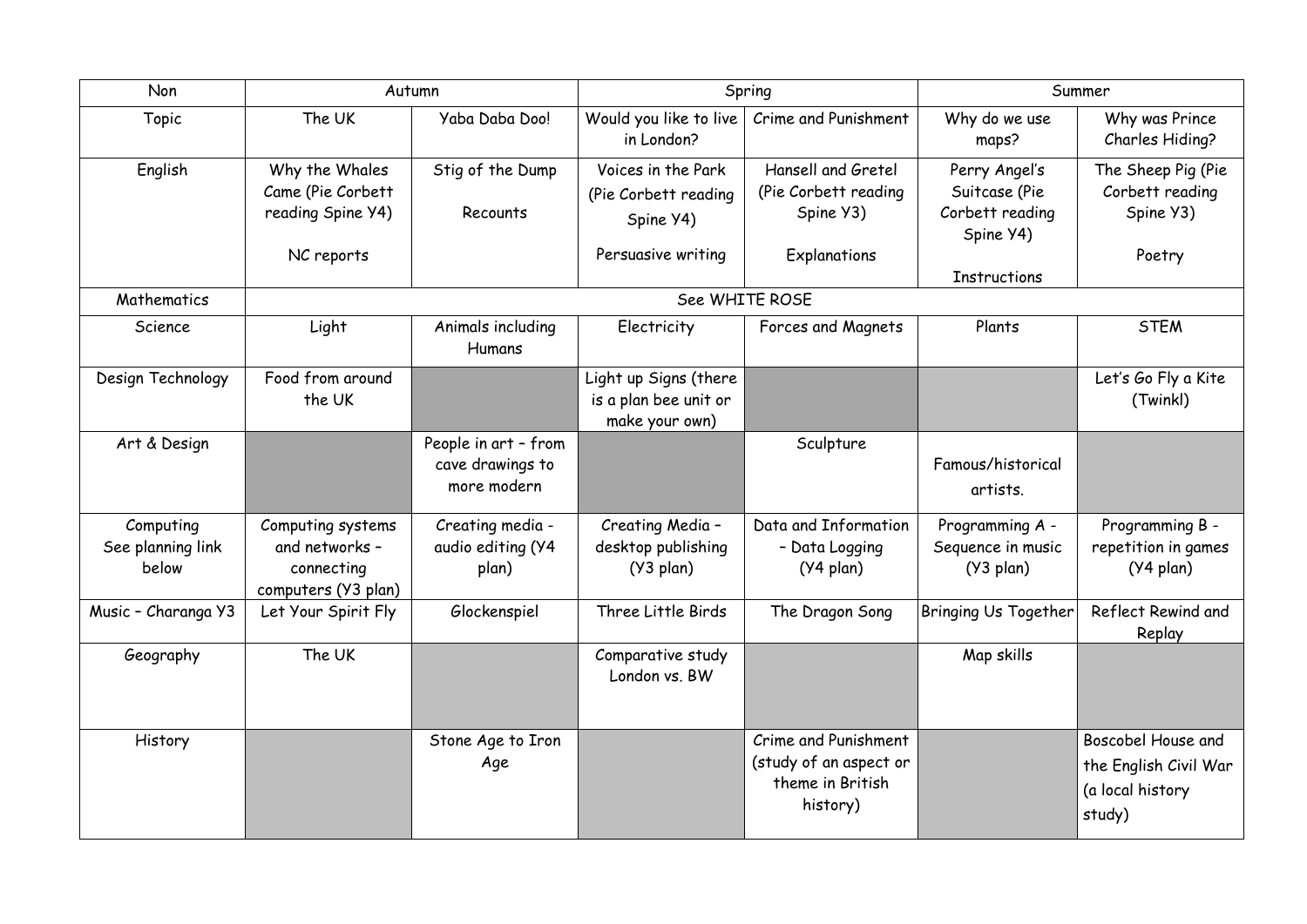| Non                                     | Autumn                                                                   |                                                         | Spring                                                           |                                                                                | Summer                                                         |                                                                           |  |  |  |
|-----------------------------------------|--------------------------------------------------------------------------|---------------------------------------------------------|------------------------------------------------------------------|--------------------------------------------------------------------------------|----------------------------------------------------------------|---------------------------------------------------------------------------|--|--|--|
| Topic                                   | The UK                                                                   | Yaba Daba Doo!                                          | Would you like to live<br>in London?                             | Crime and Punishment                                                           | Why do we use<br>maps?                                         | Why was Prince<br>Charles Hiding?                                         |  |  |  |
| English                                 | Why the Whales<br>Came (Pie Corbett<br>reading Spine Y4)                 | Stig of the Dump<br>Recounts                            | Voices in the Park<br>(Pie Corbett reading<br>Spine Y4)          | Hansell and Gretel<br>(Pie Corbett reading)<br>Spine Y3)                       | Perry Angel's<br>Suitcase (Pie<br>Corbett reading<br>Spine Y4) | The Sheep Pig (Pie<br>Corbett reading<br>Spine Y3)                        |  |  |  |
|                                         | NC reports                                                               |                                                         | Persuasive writing                                               | Explanations                                                                   | <b>Instructions</b>                                            | Poetry                                                                    |  |  |  |
| Mathematics                             | See WHITE ROSE                                                           |                                                         |                                                                  |                                                                                |                                                                |                                                                           |  |  |  |
| Science                                 | Light                                                                    | Animals including<br><b>Humans</b>                      | Electricity                                                      | Forces and Magnets                                                             | Plants                                                         | <b>STEM</b>                                                               |  |  |  |
| Design Technology                       | Food from around<br>the UK                                               |                                                         | Light up Signs (there<br>is a plan bee unit or<br>make your own) |                                                                                |                                                                | Let's Go Fly a Kite<br>(Twinkl)                                           |  |  |  |
| Art & Design                            |                                                                          | People in art - from<br>cave drawings to<br>more modern |                                                                  | Sculpture                                                                      | Famous/historical<br>artists.                                  |                                                                           |  |  |  |
| Computing<br>See planning link<br>below | Computing systems<br>and networks -<br>connecting<br>computers (Y3 plan) | Creating media -<br>audio editing (Y4<br>plan)          | Creating Media -<br>desktop publishing<br>$(Y3$ plan)            | Data and Information<br>- Data Logging<br>$(Y4$ plan)                          | Programming A -<br>Sequence in music<br>$(Y3$ plan)            | Programming B -<br>repetition in games<br>(Y4 plan)                       |  |  |  |
| Music - Charanga Y3                     | Let Your Spirit Fly                                                      | Glockenspiel                                            | Three Little Birds                                               | The Dragon Song                                                                | <b>Bringing Us Together</b>                                    | Reflect Rewind and<br>Replay                                              |  |  |  |
| Geography                               | The UK                                                                   |                                                         | Comparative study<br>London vs. BW                               |                                                                                | Map skills                                                     |                                                                           |  |  |  |
| <b>History</b>                          |                                                                          | Stone Age to Iron<br>Age                                |                                                                  | Crime and Punishment<br>(study of an aspect or<br>theme in British<br>history) |                                                                | Boscobel House and<br>the English Civil War<br>(a local history<br>study) |  |  |  |